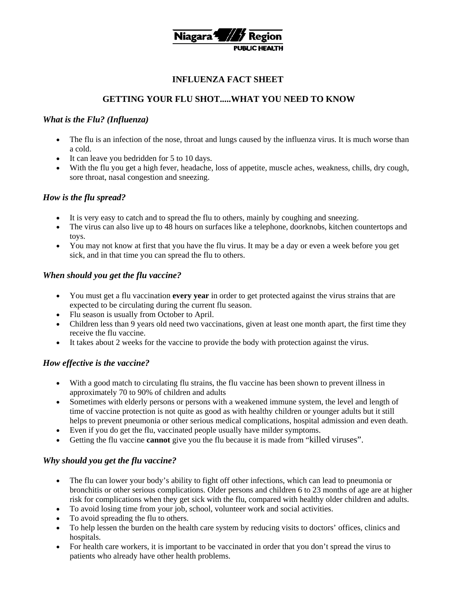

### **INFLUENZA FACT SHEET**

# **GETTING YOUR FLU SHOT.....WHAT YOU NEED TO KNOW**

### *What is the Flu? (Influenza)*

- The flu is an infection of the nose, throat and lungs caused by the influenza virus. It is much worse than a cold.
- It can leave you bedridden for 5 to 10 days.
- With the flu you get a high fever, headache, loss of appetite, muscle aches, weakness, chills, dry cough, sore throat, nasal congestion and sneezing.

#### *How is the flu spread?*

- It is very easy to catch and to spread the flu to others, mainly by coughing and sneezing.
- The virus can also live up to 48 hours on surfaces like a telephone, doorknobs, kitchen countertops and toys.
- You may not know at first that you have the flu virus. It may be a day or even a week before you get sick, and in that time you can spread the flu to others.

### *When should you get the flu vaccine?*

- You must get a flu vaccination **every year** in order to get protected against the virus strains that are expected to be circulating during the current flu season.
- Flu season is usually from October to April.
- Children less than 9 years old need two vaccinations, given at least one month apart, the first time they receive the flu vaccine.
- It takes about 2 weeks for the vaccine to provide the body with protection against the virus.

### *How effective is the vaccine?*

- With a good match to circulating flu strains, the flu vaccine has been shown to prevent illness in approximately 70 to 90% of children and adults
- Sometimes with elderly persons or persons with a weakened immune system, the level and length of time of vaccine protection is not quite as good as with healthy children or younger adults but it still helps to prevent pneumonia or other serious medical complications, hospital admission and even death.
- Even if you do get the flu, vaccinated people usually have milder symptoms.
- Getting the flu vaccine **cannot** give you the flu because it is made from "killed viruses".

### *Why should you get the flu vaccine?*

- The flu can lower your body's ability to fight off other infections, which can lead to pneumonia or bronchitis or other serious complications. Older persons and children 6 to 23 months of age are at higher risk for complications when they get sick with the flu, compared with healthy older children and adults.
- To avoid losing time from your job, school, volunteer work and social activities.
- To avoid spreading the flu to others.
- To help lessen the burden on the health care system by reducing visits to doctors' offices, clinics and hospitals.
- For health care workers, it is important to be vaccinated in order that you don't spread the virus to patients who already have other health problems.